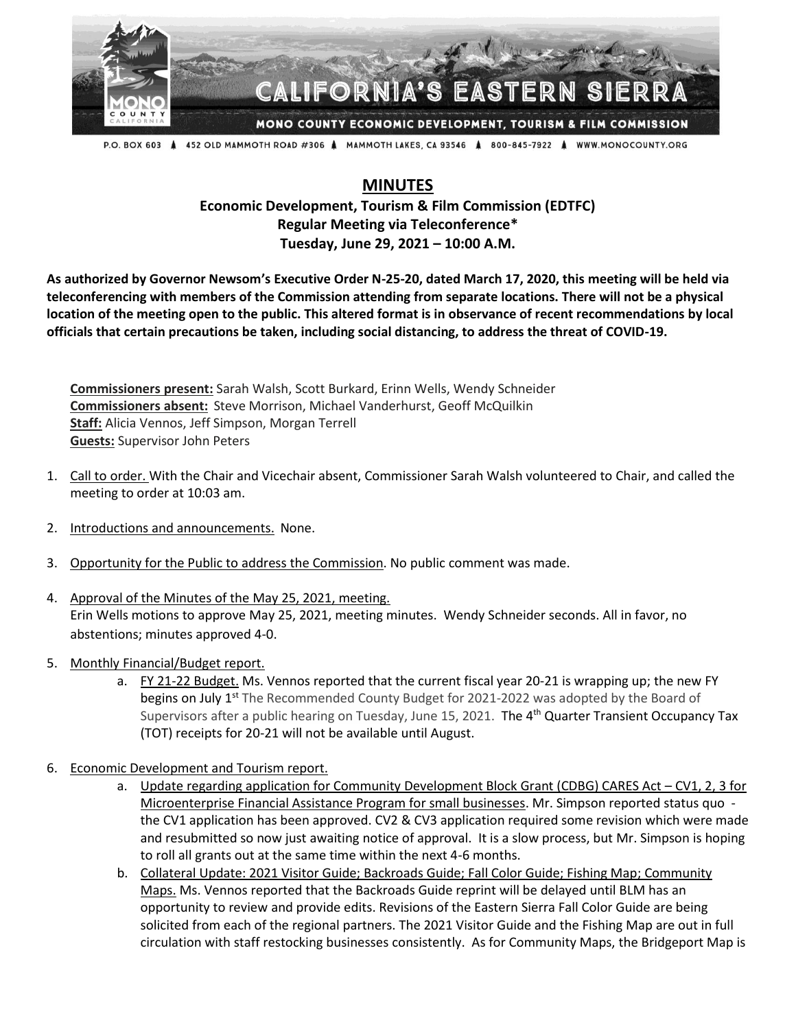

## CALIFORNIA'S EASTERN SIERR

MONO COUNTY ECONOMIC DEVELOPMENT, TOURISM & FILM COMMISSION

P.O. BOX 603 Å 452 OLD MAMMOTH ROAD #306 Å MAMMOTH LAKES, CA 93546 Å 800-845-7922 Å WWW.MONOCOUNTY.ORG

## **MINUTES**

## **Economic Development, Tourism & Film Commission (EDTFC) Regular Meeting via Teleconference\* Tuesday, June 29, 2021 – 10:00 A.M.**

**As authorized by Governor Newsom's Executive Order N-25-20, dated March 17, 2020, this meeting will be held via teleconferencing with members of the Commission attending from separate locations. There will not be a physical location of the meeting open to the public. This altered format is in observance of recent recommendations by local officials that certain precautions be taken, including social distancing, to address the threat of COVID-19.**

**Commissioners present:** Sarah Walsh, Scott Burkard, Erinn Wells, Wendy Schneider **Commissioners absent:** Steve Morrison, Michael Vanderhurst, Geoff McQuilkin **Staff:** Alicia Vennos, Jeff Simpson, Morgan Terrell **Guests:** Supervisor John Peters

- 1. Call to order. With the Chair and Vicechair absent, Commissioner Sarah Walsh volunteered to Chair, and called the meeting to order at 10:03 am.
- 2. Introductions and announcements. None.
- 3. Opportunity for the Public to address the Commission. No public comment was made.
- 4. Approval of the Minutes of the May 25, 2021, meeting. Erin Wells motions to approve May 25, 2021, meeting minutes. Wendy Schneider seconds. All in favor, no abstentions; minutes approved 4-0.
- 5. Monthly Financial/Budget report.
	- a. FY 21-22 Budget. Ms. Vennos reported that the current fiscal year 20-21 is wrapping up; the new FY begins on July 1<sup>st</sup> The Recommended County Budget for 2021-2022 was adopted by the Board of Supervisors after a public hearing on Tuesday, June 15, 2021. The 4<sup>th</sup> Quarter Transient Occupancy Tax (TOT) receipts for 20-21 will not be available until August.
- 6. Economic Development and Tourism report.
	- a. Update regarding application for Community Development Block Grant (CDBG) CARES Act CV1, 2, 3 for Microenterprise Financial Assistance Program for small businesses. Mr. Simpson reported status quo the CV1 application has been approved. CV2 & CV3 application required some revision which were made and resubmitted so now just awaiting notice of approval. It is a slow process, but Mr. Simpson is hoping to roll all grants out at the same time within the next 4-6 months.
	- b. Collateral Update: 2021 Visitor Guide; Backroads Guide; Fall Color Guide; Fishing Map; Community Maps. Ms. Vennos reported that the Backroads Guide reprint will be delayed until BLM has an opportunity to review and provide edits. Revisions of the Eastern Sierra Fall Color Guide are being solicited from each of the regional partners. The 2021 Visitor Guide and the Fishing Map are out in full circulation with staff restocking businesses consistently. As for Community Maps, the Bridgeport Map is